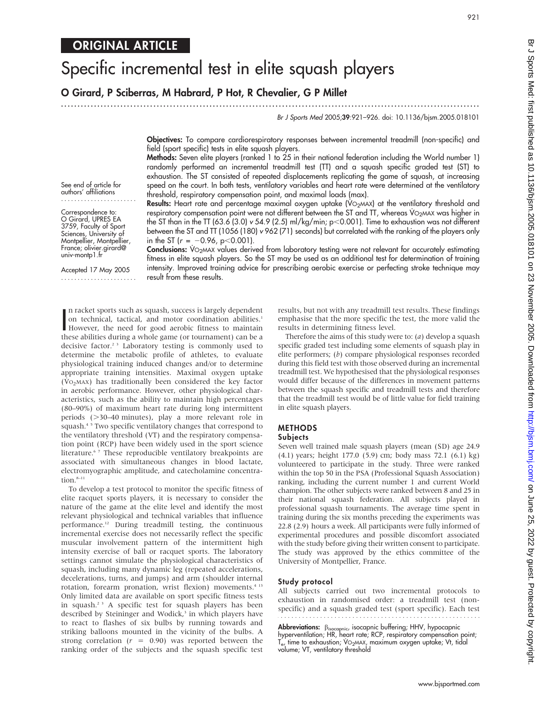# Specific incremental test in elite squash players

O Girard, P Sciberras, M Habrard, P Hot, R Chevalier, G P Millet

...............................................................................................................................

Br J Sports Med 2005;39:921–926. doi: 10.1136/bjsm.2005.018101

Objectives: To compare cardiorespiratory responses between incremental treadmill (non-specific) and field (sport specific) tests in elite squash players.

Methods: Seven elite players (ranked 1 to 25 in their national federation including the World number 1) randomly performed an incremental treadmill test (TT) and a squash specific graded test (ST) to exhaustion. The ST consisted of repeated displacements replicating the game of squash, at increasing speed on the court. In both tests, ventilatory variables and heart rate were determined at the ventilatory threshold, respiratory compensation point, and maximal loads (max).

**Results:** Heart rate and percentage maximal oxygen uptake ( $VO<sub>2</sub>MAX$ ) at the ventilatory threshold and respiratory compensation point were not different between the ST and TT, whereas VO<sub>2</sub>MAX was higher in the ST than in the TT (63.6 (3.0) v 54.9 (2.5) ml/kg/min;  $p$  < 0.001). Time to exhaustion was not different between the ST and TT (1056 (180) v 962 (71) seconds) but correlated with the ranking of the players only

See end of article for authors' affiliations .......................

Correspondence to: O Girard, UPRES EA 3759, Faculty of Sport Sciences, University of Montpellier, Montpellier, France; olivier.girard@ univ-montp1.fr

Accepted 17 May 2005 ....................... in the ST ( $r = -0.96$ , p $< 0.001$ ). Conclusions: VO<sub>2MAX</sub> values derived from laboratory testing were not relevant for accurately estimating fitness in elite squash players. So the ST may be used as an additional test for determination of training intensity. Improved training advice for prescribing aerobic exercise or perfecting stroke technique may result from these results.

In racket sports such as squash, success is largely dependent<br>on technical, tactical, and motor coordination abilities.<sup>1</sup><br>However, the need for good aerobic fitness to maintain<br>these abilities during a whole game (or tour n racket sports such as squash, success is largely dependent on technical, tactical, and motor coordination abilities.<sup>1</sup> these abilities during a whole game (or tournament) can be a decisive factor.<sup>2 3</sup> Laboratory testing is commonly used to determine the metabolic profile of athletes, to evaluate physiological training induced changes and/or to determine appropriate training intensities. Maximal oxygen uptake  $(VO<sub>2</sub>MAX)$  has traditionally been considered the key factor in aerobic performance. However, other physiological characteristics, such as the ability to maintain high percentages (80–90%) of maximum heart rate during long intermittent periods  $($ >30–40 minutes), play a more relevant role in squash.<sup>4 5</sup> Two specific ventilatory changes that correspond to the ventilatory threshold (VT) and the respiratory compensation point (RCP) have been widely used in the sport science literature.<sup>67</sup> These reproducible ventilatory breakpoints are associated with simultaneous changes in blood lactate, electromyographic amplitude, and catecholamine concentration.<sup>8–11</sup>

To develop a test protocol to monitor the specific fitness of elite racquet sports players, it is necessary to consider the nature of the game at the elite level and identify the most relevant physiological and technical variables that influence performance.<sup>12</sup> During treadmill testing, the continuous incremental exercise does not necessarily reflect the specific muscular involvement pattern of the intermittent high intensity exercise of ball or racquet sports. The laboratory settings cannot simulate the physiological characteristics of squash, including many dynamic leg (repeated accelerations, decelerations, turns, and jumps) and arm (shoulder internal rotation, forearm pronation, wrist flexion) movements.<sup>4 13</sup> Only limited data are available on sport specific fitness tests in squash.<sup>2 3</sup> A specific test for squash players has been described by Steininger and Wodick,<sup>3</sup> in which players have to react to flashes of six bulbs by running towards and striking balloons mounted in the vicinity of the bulbs. A

strong correlation ( $r = 0.90$ ) was reported between the ranking order of the subjects and the squash specific test results, but not with any treadmill test results. These findings emphasise that the more specific the test, the more valid the results in determining fitness level.

Therefore the aims of this study were to:  $(a)$  develop a squash specific graded test including some elements of squash play in elite performers; (b) compare physiological responses recorded during this field test with those observed during an incremental treadmill test. We hypothesised that the physiological responses would differ because of the differences in movement patterns between the squash specific and treadmill tests and therefore that the treadmill test would be of little value for field training in elite squash players.

# METHODS

## **Subjects**

Seven well trained male squash players (mean (SD) age 24.9 (4.1) years; height 177.0 (5.9) cm; body mass 72.1 (6.1) kg) volunteered to participate in the study. Three were ranked within the top 50 in the PSA (Professional Squash Association) ranking, including the current number 1 and current World champion. The other subjects were ranked between 8 and 25 in their national squash federation. All subjects played in professional squash tournaments. The average time spent in training during the six months preceding the experiments was 22.8 (2.9) hours a week. All participants were fully informed of experimental procedures and possible discomfort associated with the study before giving their written consent to participate. The study was approved by the ethics committee of the University of Montpellier, France.

#### Study protocol

All subjects carried out two incremental protocols to exhaustion in randomised order: a treadmill test (nonspecific) and a squash graded test (sport specific). Each test 

Abbreviations:  $\beta_{\text{isocapnic}}$ , isocapnic buffering; HHV, hypocapnic hyperventilation; HR, heart rate; RCP, respiratory compensation point;  $T_{\rm e}$ , time to exhaustion; VO<sub>2</sub>MAX, maximum oxygen uptake; Vt, tidal volume; VT, ventilatory threshold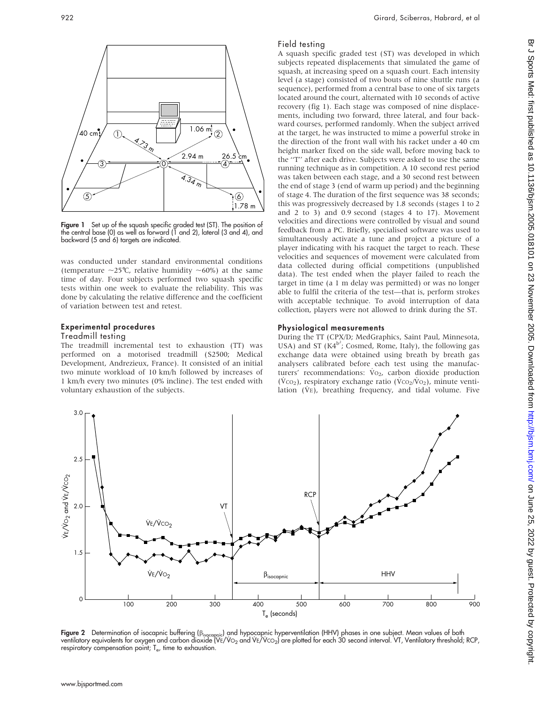

**Figure 1** Set up of the squash specific graded test (ST). The position of the central base (0) as well as forward (1 and 2), lateral (3 and 4), and backward (5 and 6) targets are indicated.

was conducted under standard environmental conditions (temperature  $\sim$ 25°C, relative humidity  $\sim$ 60%) at the same time of day. Four subjects performed two squash specific tests within one week to evaluate the reliability. This was done by calculating the relative difference and the coefficient of variation between test and retest.

#### Experimental procedures

#### Treadmill testing

The treadmill incremental test to exhaustion (TT) was performed on a motorised treadmill (S2500; Medical Development, Andrezieux, France). It consisted of an initial two minute workload of 10 km/h followed by increases of 1 km/h every two minutes (0% incline). The test ended with voluntary exhaustion of the subjects.

#### Field testing

A squash specific graded test (ST) was developed in which subjects repeated displacements that simulated the game of squash, at increasing speed on a squash court. Each intensity level (a stage) consisted of two bouts of nine shuttle runs (a sequence), performed from a central base to one of six targets located around the court, alternated with 10 seconds of active recovery (fig 1). Each stage was composed of nine displacements, including two forward, three lateral, and four backward courses, performed randomly. When the subject arrived at the target, he was instructed to mime a powerful stroke in the direction of the front wall with his racket under a 40 cm height marker fixed on the side wall, before moving back to the ''T'' after each drive. Subjects were asked to use the same running technique as in competition. A 10 second rest period was taken between each stage, and a 30 second rest between the end of stage 3 (end of warm up period) and the beginning of stage 4. The duration of the first sequence was 38 seconds; this was progressively decreased by 1.8 seconds (stages 1 to 2 and 2 to 3) and 0.9 second (stages 4 to 17). Movement velocities and directions were controlled by visual and sound feedback from a PC. Briefly, specialised software was used to simultaneously activate a tune and project a picture of a player indicating with his racquet the target to reach. These velocities and sequences of movement were calculated from data collected during official competitions (unpublished data). The test ended when the player failed to reach the target in time (a 1 m delay was permitted) or was no longer able to fulfil the criteria of the test—that is, perform strokes with acceptable technique. To avoid interruption of data collection, players were not allowed to drink during the ST.

#### Physiological measurements

During the TT (CPX/D; MedGraphics, Saint Paul, Minnesota, USA) and ST  $(K4^{b^2})$ ; Cosmed, Rome, Italy), the following gas exchange data were obtained using breath by breath gas analysers calibrated before each test using the manufacturers' recommendations:  $Vo_{2}$ , carbon dioxide production  $(\dot{V}CO_2)$ , respiratory exchange ratio  $(\dot{V}CO_2/\dot{V}O_2)$ , minute ventilation  $(\dot{V}E)$ , breathing frequency, and tidal volume. Five



**Figure 2** Determination of isocapnic buffering (p<sub>isocapnic</sub>) and hypocapnic hyperventilation (HHV) phases in one subject. Mean values of both<br>ventilatory equivalents for oxygen and carbon dioxide (VE/V0<sub>2</sub> and VE/Vc0<sub>2</sub>) respiratory compensation point;  $T_e$ , time to exhaustion.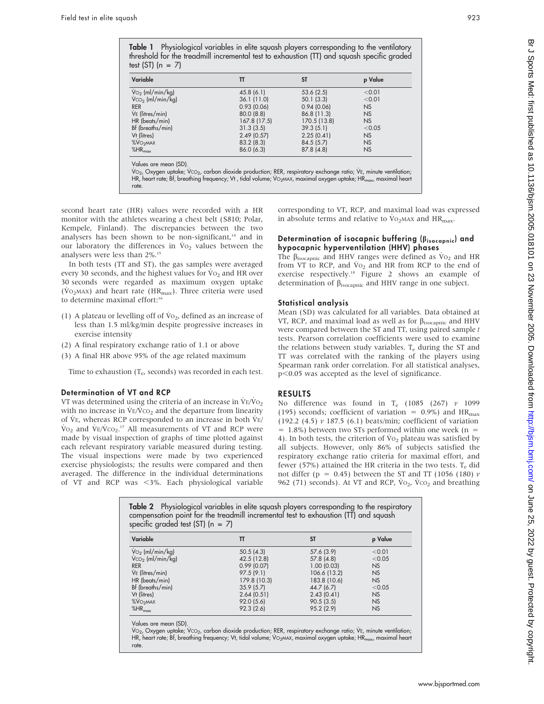| Variable                           | π           | <b>ST</b>    | p Value   |
|------------------------------------|-------------|--------------|-----------|
| $\dot{V}$ <sub>2</sub> (ml/min/kg) | 45.8(6.1)   | 53.6(2.5)    | < 0.01    |
| $VCO2$ (ml/min/kg)                 | 36.1(11.0)  | 50.1(3.3)    | < 0.01    |
| <b>RER</b>                         | 0.93(0.06)  | 0.94(0.06)   | <b>NS</b> |
| $V_E$ (litres/min)                 | 80.0(8.8)   | 86.8 (11.3)  | <b>NS</b> |
| HR (beats/min)                     | 167.8(17.5) | 170.5 (13.8) | <b>NS</b> |
| Bf (breaths/min)                   | 31.3(3.5)   | 39.3(5.1)    | < 0.05    |
| Vt (litres)                        | 2.49(0.57)  | 2.25(0.41)   | <b>NS</b> |
| <b>%VO<sub>2</sub>MAX</b>          | 83.2(8.3)   | 84.5 (5.7)   | <b>NS</b> |
| $%HR_{max}$                        | 86.0(6.3)   | 87.8(4.8)    | <b>NS</b> |

Values are mean (SD).

Vo<sub>2</sub>, Oxygen uptake; Vco<sub>2</sub>, carbon dioxide production; RER, respiratory exchange ratio; VE, minute ventilation; HR, heart rate; Bf, breathing frequency; Vt, tidal volume; VO<sub>2</sub>MAX, maximal oxygen uptake; HR<sub>max</sub>, maximal heart rate.

second heart rate (HR) values were recorded with a HR monitor with the athletes wearing a chest belt (S810; Polar, Kempele, Finland). The discrepancies between the two analysers has been shown to be non-significant, $14$  and in our laboratory the differences in  $\dot{V}_{O_2}$  values between the analysers were less than 2%.15

In both tests (TT and ST), the gas samples were averaged every 30 seconds, and the highest values for  $Vo_2$  and HR over 30 seconds were regarded as maximum oxygen uptake ( $\dot{V}$ O<sub>2</sub>MAX) and heart rate ( $HR_{max}$ ). Three criteria were used to determine maximal effort:<sup>16</sup>

- (1) A plateau or levelling off of  $\dot{V}_{O_2}$ , defined as an increase of less than 1.5 ml/kg/min despite progressive increases in exercise intensity
- (2) A final respiratory exchange ratio of 1.1 or above
- (3) A final HR above 95% of the age related maximum

Time to exhaustion  $(T_e$ , seconds) was recorded in each test.

# Determination of VT and RCP

VT was determined using the criteria of an increase in  $V_{E}/V_{O_2}$ with no increase in  $\dot{V}E/\dot{V}CO_2$  and the departure from linearity of  $V_{E}$ , whereas RCP corresponded to an increase in both  $V_{E}$ /  $\rm \dot{V}o_{2}$  and  $\rm \dot{V}E/\dot{V}co_{2}$ .<sup>17</sup> All measurements of VT and RCP were made by visual inspection of graphs of time plotted against each relevant respiratory variable measured during testing. The visual inspections were made by two experienced exercise physiologists; the results were compared and then averaged. The difference in the individual determinations of VT and RCP was  $\langle 3\% \rangle$ . Each physiological variable

corresponding to VT, RCP, and maximal load was expressed in absolute terms and relative to  $\rm{\dot{V}o_{2}}$  MAX and HR<sub>max</sub>.

## Determination of isocapnic buffering (Bisocapnic) and hypocapnic hyperventilation (HHV) phases

The  $\beta_{\text{isocapnic}}$  and HHV ranges were defined as  $\dot{V}o_2$  and HR from VT to RCP, and  $\dot{V}o_2$  and HR from RCP to the end of exercise respectively.<sup>18</sup> Figure 2 shows an example of determination of  $\beta_{\text{isocapnic}}$  and HHV range in one subject.

## Statistical analysis

Mean (SD) was calculated for all variables. Data obtained at VT, RCP, and maximal load as well as for  $\beta_{\text{isocapnic}}$  and HHV were compared between the ST and TT, using paired sample  $t$ tests. Pearson correlation coefficients were used to examine the relations between study variables.  $T_e$  during the ST and TT was correlated with the ranking of the players using Spearman rank order correlation. For all statistical analyses,  $p$ <0.05 was accepted as the level of significance.

# RESULTS

No difference was found in  $T_e$  (1085 (267)  $v$  1099 (195) seconds; coefficient of variation =  $0.9\%$ ) and HR<sub>max</sub> (192.2 (4.5) v 187.5 (6.1) beats/min; coefficient of variation  $= 1.8\%$ ) between two STs performed within one week (n = 4). In both tests, the criterion of  $Vo_2$  plateau was satisfied by all subjects. However, only 86% of subjects satisfied the respiratory exchange ratio criteria for maximal effort, and fewer (57%) attained the HR criteria in the two tests.  $T_e$  did not differ (p = 0.45) between the ST and TT (1056 (180)  $\nu$ 962 (71) seconds). At VT and RCP,  $\dot{V}$ O<sub>2</sub>,  $\dot{V}$ CO<sub>2</sub> and breathing

**Table 2** Physiological variables in elite squash players corresponding to the respiratory compensation point for the treadmill incremental test to exhaustion (TT) and squash specific graded test (ST)  $(n = 7)$ 

| Variable                           | π            | <b>ST</b>    | p Value   |
|------------------------------------|--------------|--------------|-----------|
| $\dot{V}$ <sub>2</sub> (ml/min/kg) | 50.5(4.3)    | 57.6 (3.9)   | < 0.01    |
| $V_{CO2}$ (ml/min/kg)              | 42.5 (12.8)  | 57.8(4.8)    | < 0.05    |
| <b>RER</b>                         | 0.99(0.07)   | 1.00(0.03)   | <b>NS</b> |
| $Ve$ (litres/min)                  | 97.5(9.1)    | 106.6 (13.2) | <b>NS</b> |
| HR (beats/min)                     | 179.8 (10.3) | 183.8 (10.6) | <b>NS</b> |
| Bf (breaths/min)                   | 35.9(5.7)    | 44.7 (6.7)   | < 0.05    |
| Vt (litres)                        | 2.64(0.51)   | 2.43(0.41)   | <b>NS</b> |
| %VO <sub>2</sub> MAX               | 92.0(5.6)    | 90.5(3.5)    | <b>NS</b> |
| $%HR_{max}$                        | 92.3(2.6)    | 95.2 (2.9)   | <b>NS</b> |

Values are mean (SD).

Vo<sub>2</sub>, Oxygen uptake; Vco<sub>2</sub>, carbon dioxide production; RER, respiratory exchange ratio; VE, minute ventilation; HR, heart rate; Bf, breathing frequency; Vt, tidal volume; VO2MAX, maximal oxygen uptake; HR<sub>max</sub>, maximal heart rate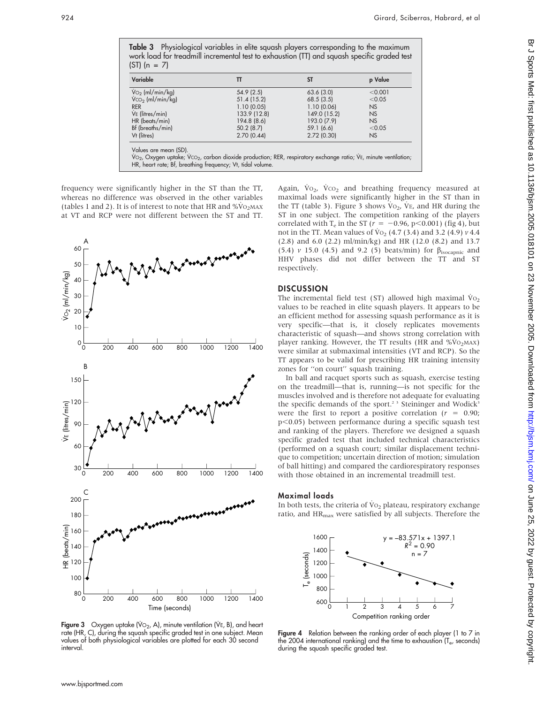| Variable                           | π            | <b>ST</b>    | p Value   |
|------------------------------------|--------------|--------------|-----------|
| $\dot{V}$ <sub>2</sub> (ml/min/kg) | 54.9(2.5)    | 63.6(3.0)    | < 0.001   |
| $VCO2$ (ml/min/kg)                 | 51.4 (15.2)  | 68.5(3.5)    | < 0.05    |
| <b>RER</b>                         | 1.10(0.05)   | 1.10(0.06)   | <b>NS</b> |
| VE (litres/min)                    | 133.9 (12.8) | 149.0 (15.2) | <b>NS</b> |
| HR (beats/min)                     | 194.8 (8.6)  | 193.0 (7.9)  | NS        |
| Bf (breaths/min)                   | 50.2(8.7)    | 59.1 (6.6)   | < 0.05    |
| Vt (litres)                        | 2.70(0.44)   | 2.72(0.30)   | <b>NS</b> |

Table 3 Physiological variables in elite squash players corresponding to the maximum work load for treadmill incremental test to exhaustion (TT) and squash specific graded test

frequency were significantly higher in the ST than the TT, whereas no difference was observed in the other variables (tables 1 and 2). It is of interest to note that HR and  $\%$ VO<sub>2</sub>MAX

HR, heart rate; Bf, breathing frequency; Vt, tidal volume.

at VT and RCP were not different between the ST and TT.



Figure 3 Oxygen uptake (Vo<sub>2</sub>, A), minute ventilation (VE, B), and heart rate (HR, C), during the squash specific graded test in one subject. Mean values of both physiological variables are plotted for each 30 second interval.

Again,  $\dot{V}o_2$ ,  $\dot{V}co_2$  and breathing frequency measured at maximal loads were significantly higher in the ST than in the TT (table 3). Figure 3 shows  $\dot{V}o_2$ ,  $\dot{V}E$ , and HR during the ST in one subject. The competition ranking of the players correlated with T<sub>e</sub> in the ST ( $r = -0.96$ , p $\leq 0.001$ ) (fig 4), but not in the TT. Mean values of  $V_{{}^{0}2}$  (4.7 (3.4) and 3.2 (4.9)  $\nu$  4.4 (2.8) and 6.0 (2.2) ml/min/kg) and HR (12.0 (8.2) and 13.7 (5.4)  $\nu$  15.0 (4.5) and 9.2 (5) beats/min) for  $\beta_{\rm isocapnic}$  and HHV phases did not differ between the TT and ST respectively.

### **DISCUSSION**

The incremental field test (ST) allowed high maximal  $\dot{V}$ <sub>O2</sub> values to be reached in elite squash players. It appears to be an efficient method for assessing squash performance as it is very specific—that is, it closely replicates movements characteristic of squash—and shows strong correlation with player ranking. However, the TT results (HR and  $\%$ V<sub>O2MAX</sub>) were similar at submaximal intensities (VT and RCP). So the TT appears to be valid for prescribing HR training intensity zones for ''on court'' squash training.

In ball and racquet sports such as squash, exercise testing on the treadmill—that is, running—is not specific for the muscles involved and is therefore not adequate for evaluating the specific demands of the sport.<sup>2 3</sup> Steininger and Wodick<sup>3</sup> were the first to report a positive correlation ( $r = 0.90$ ;  $p<0.05$ ) between performance during a specific squash test and ranking of the players. Therefore we designed a squash specific graded test that included technical characteristics (performed on a squash court; similar displacement technique to competition; uncertain direction of motion; simulation of ball hitting) and compared the cardiorespiratory responses with those obtained in an incremental treadmill test.

## Maximal loads

In both tests, the criteria of  $\dot{V}_{O2}$  plateau, respiratory exchange ratio, and  $HR_{\text{max}}$  were satisfied by all subjects. Therefore the



Figure 4 Relation between the ranking order of each player (1 to 7 in the 2004 international ranking) and the time to exhaustion (T<sub>e</sub>, seconds) during the squash specific graded test.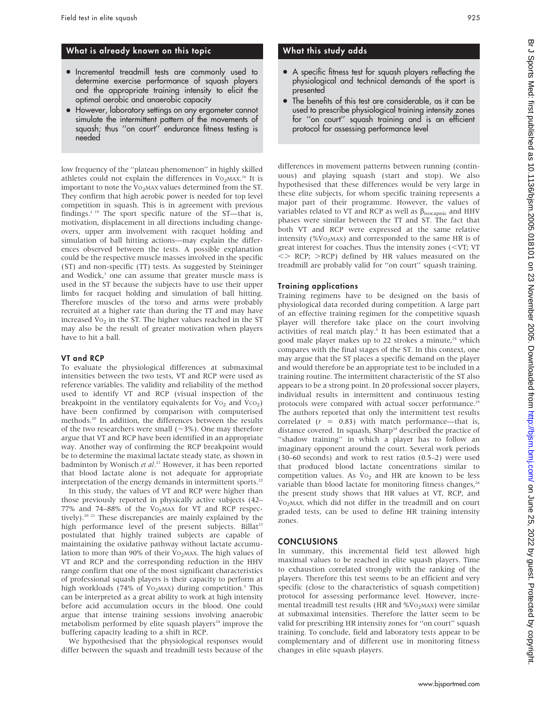# What is already known on this topic

- $\bullet$  Incremental treadmill tests are commonly used to determine exercise performance of squash players and the appropriate training intensity to elicit the optimal aerobic and anaerobic capacity
- However, laboratory settings on any ergometer cannot simulate the intermittent pattern of the movements of squash; thus ''on court'' endurance fitness testing is needed

low frequency of the ''plateau phenomenon'' in highly skilled athletes could not explain the differences in VO<sub>2</sub>MAX.<sup>16</sup> It is important to note the  $\overline{V_{O_2MAX}}$  values determined from the ST. They confirm that high aerobic power is needed for top level competition in squash. This is in agreement with previous findings.<sup>2 19</sup> The sport specific nature of the ST—that is, motivation, displacement in all directions including changeovers, upper arm involvement with racquet holding and simulation of ball hitting actions—may explain the differences observed between the tests. A possible explanation could be the respective muscle masses involved in the specific (ST) and non-specific (TT) tests. As suggested by Steininger and Wodick,<sup>3</sup> one can assume that greater muscle mass is used in the ST because the subjects have to use their upper limbs for racquet holding and simulation of ball hitting. Therefore muscles of the torso and arms were probably recruited at a higher rate than during the TT and may have increased  $\dot{V}$ <sub>2</sub> in the ST. The higher values reached in the ST may also be the result of greater motivation when players have to hit a ball.

#### VT and RCP

To evaluate the physiological differences at submaximal intensities between the two tests, VT and RCP were used as reference variables. The validity and reliability of the method used to identify VT and RCP (visual inspection of the breakpoint in the ventilatory equivalents for  $\dot{V}_{O_2}$  and  $\dot{V}_{CO_2}$ ) have been confirmed by comparison with computerised methods.20 In addition, the differences between the results of the two researchers were small  $(\sim3\%)$ . One may therefore argue that VT and RCP have been identified in an appropriate way. Another way of confirming the RCP breakpoint would be to determine the maximal lactate steady state, as shown in badminton by Wonisch et al.<sup>21</sup> However, it has been reported that blood lactate alone is not adequate for appropriate interpretation of the energy demands in intermittent sports.<sup>22</sup>

In this study, the values of VT and RCP were higher than those previously reported in physically active subjects (42– 77% and 74–88% of the  $\overline{V}$ <sub>2</sub>MAX for VT and RCP respectively).20 21 These discrepancies are mainly explained by the high performance level of the present subjects. Billat<sup>23</sup> postulated that highly trained subjects are capable of maintaining the oxidative pathway without lactate accumulation to more than 90% of their  $\dot{V}O_2$  MAX. The high values of VT and RCP and the corresponding reduction in the HHV range confirm that one of the most significant characteristics of professional squash players is their capacity to perform at high workloads (74% of  $Vo<sub>2</sub>$  MAX) during competition.<sup>5</sup> This can be interpreted as a great ability to work at high intensity before acid accumulation occurs in the blood. One could argue that intense training sessions involving anaerobic metabolism performed by elite squash players $24$  improve the buffering capacity leading to a shift in RCP.

We hypothesised that the physiological responses would differ between the squash and treadmill tests because of the

# What this study adds

- A specific fitness test for squash players reflecting the physiological and technical demands of the sport is presented
- $\bullet$  The benefits of this test are considerable, as it can be used to prescribe physiological training intensity zones for ''on court'' squash training and is an efficient protocol for assessing performance level

differences in movement patterns between running (continuous) and playing squash (start and stop). We also hypothesised that these differences would be very large in these elite subjects, for whom specific training represents a major part of their programme. However, the values of variables related to VT and RCP as well as  $\beta_{\rm isocapnic}$  and HHV phases were similar between the TT and ST. The fact that both VT and RCP were expressed at the same relative intensity (% $\dot{V}$ O<sub>2</sub>MAX) and corresponded to the same HR is of great interest for coaches. Thus the intensity zones  $(*VT*; *VT*$  $\langle$  RCP;  $\rangle$ RCP) defined by HR values measured on the treadmill are probably valid for ''on court'' squash training.

#### Training applications

Training regimens have to be designed on the basis of physiological data recorded during competition. A large part of an effective training regimen for the competitive squash player will therefore take place on the court involving activities of real match play.<sup>5</sup> It has been estimated that a good male player makes up to 22 strokes a minute,<sup>24</sup> which compares with the final stages of the ST. In this context, one may argue that the ST places a specific demand on the player and would therefore be an appropriate test to be included in a training routine. The intermittent characteristic of the ST also appears to be a strong point. In 20 professional soccer players, individual results in intermittent and continuous testing protocols were compared with actual soccer performance.<sup>21</sup> The authors reported that only the intermittent test results correlated  $(r = 0.83)$  with match performance—that is, distance covered. In squash, Sharp<sup>24</sup> described the practice of ''shadow training'' in which a player has to follow an imaginary opponent around the court. Several work periods (30–60 seconds) and work to rest ratios (0.5–2) were used that produced blood lactate concentrations similar to competition values. As  $\dot{V}_{O_2}$  and HR are known to be less variable than blood lactate for monitoring fitness changes,<sup>26</sup> the present study shows that HR values at VT, RCP, and  $\dot{V}_{\text{O}_2}$ MAX, which did not differ in the treadmill and on court graded tests, can be used to define HR training intensity zones.

#### **CONCLUSIONS**

In summary, this incremental field test allowed high maximal values to be reached in elite squash players. Time to exhaustion correlated strongly with the ranking of the players. Therefore this test seems to be an efficient and very specific (close to the characteristics of squash competition) protocol for assessing performance level. However, incremental treadmill test results (HR and  $\%$ VO<sub>2</sub>MAX) were similar at submaximal intensities. Therefore the latter seem to be valid for prescribing HR intensity zones for ''on court'' squash training. To conclude, field and laboratory tests appear to be complementary and of different use in monitoring fitness changes in elite squash players.